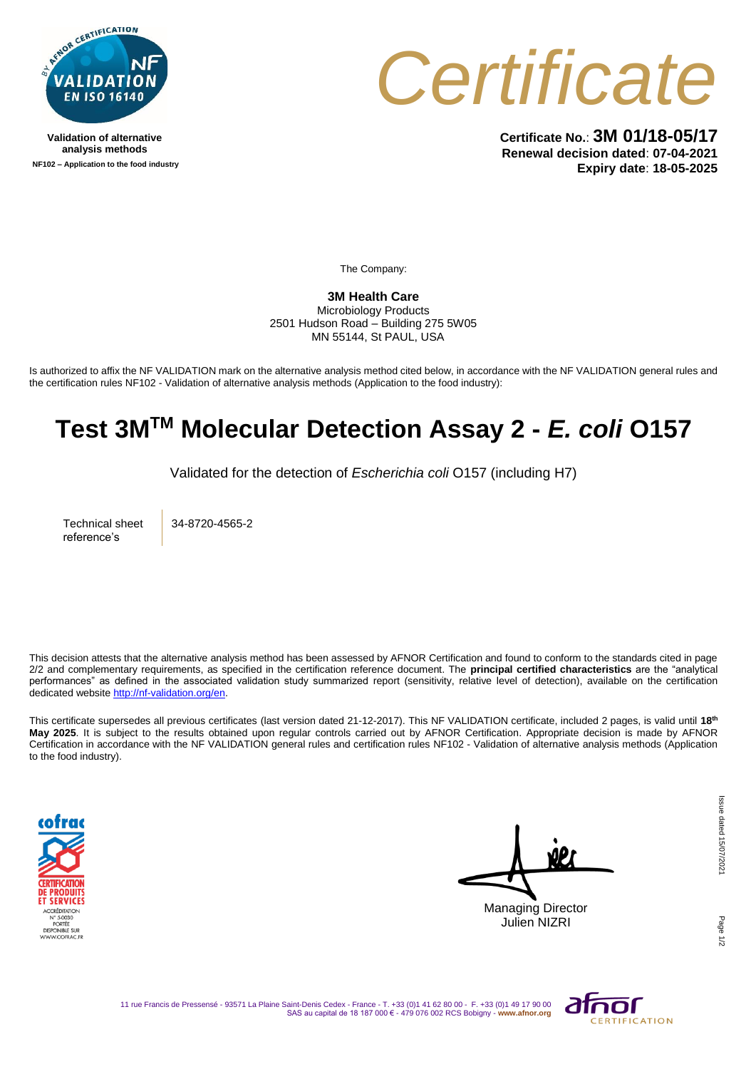

**Validation of alternative analysis methods NF102 – Application to the food industry**



**Certificate No.**: **3M 01/18-05/17 Renewal decision dated**: **07-04-2021 Expiry date**: **18-05-2025**

The Company:

**3M Health Care** Microbiology Products 2501 Hudson Road – Building 275 5W05 MN 55144, St PAUL, USA

Is authorized to affix the NF VALIDATION mark on the alternative analysis method cited below, in accordance with the NF VALIDATION general rules and the certification rules NF102 - Validation of alternative analysis methods (Application to the food industry):

## **Test 3MTM Molecular Detection Assay 2 -** *E. coli* **O157**

Validated for the detection of *Escherichia coli* O157 (including H7)

Technical sheet reference's

34-8720-4565-2

This decision attests that the alternative analysis method has been assessed by AFNOR Certification and found to conform to the standards cited in page 2/2 and complementary requirements, as specified in the certification reference document. The **principal certified characteristics** are the "analytical performances" as defined in the associated validation study summarized report (sensitivity, relative level of detection), available on the certification dedicated websit[e http://nf-validation.org/en.](http://nf-validation.org/en)

This certificate supersedes all previous certificates (last version dated 21-12-2017). This NF VALIDATION certificate, included 2 pages, is valid until **18th May 2025**. It is subject to the results obtained upon regular controls carried out by AFNOR Certification. Appropriate decision is made by AFNOR Certification in accordance with the NF VALIDATION general rules and certification rules NF102 - Validation of alternative analysis methods (Application to the food industry).



Managing Director Julien NIZRI